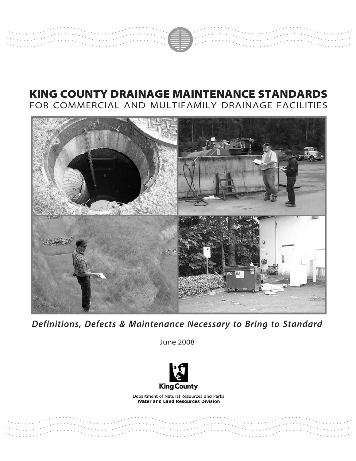

# KING COUNTY DRAINAGE MAINTENANCE STANDARDS FOR COMMERCIAL AND MULTIFAMILY DRAINAGE FACILITIES



*Definitions, Defects & Maintenance Necessary to Bring to Standard*

June 2008



Department of Natural Resources and Parks **Water and Land Resources Division**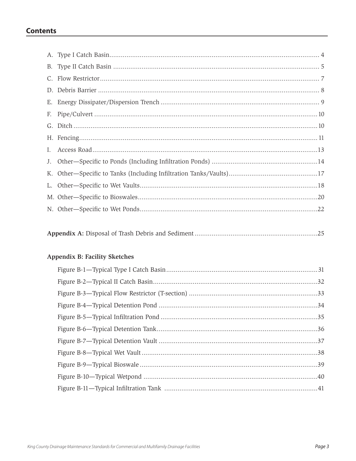## **Contents**

|--|--|--|

## Appendix B: Facility Sketches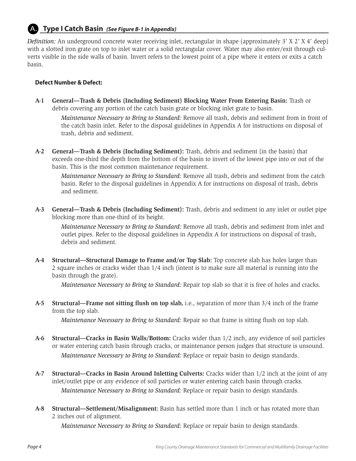## **Type I Catch Basin** *(See Figure B-1 in Appendix)* A.

*Definition:* An underground concrete water receiving inlet, rectangular in shape (approximately 3' X 2' X 4' deep) with a slotted iron grate on top to inlet water or a solid rectangular cover. Water may also enter/exit through culverts visible in the side walls of basin. Invert refers to the lowest point of a pipe where it enters or exits a catch basin.

## **Defect Number & Defect:**

**A-1 General—Trash & Debris (Including Sediment) Blocking Water From Entering Basin:** Trash or debris covering any portion of the catch basin grate or blocking inlet grate to basin.

*Maintenance Necessary to Bring to Standard:* Remove all trash, debris and sediment from in front of the catch basin inlet. Refer to the disposal guidelines in Appendix A for instructions on disposal of trash, debris and sediment.

**A-2 General—Trash & Debris (Including Sediment):** Trash, debris and sediment (in the basin) that exceeds one-third the depth from the bottom of the basin to invert of the lowest pipe into or out of the basin. This is the most common maintenance requirement.

*Maintenance Necessary to Bring to Standard:* Remove all trash, debris and sediment from the catch basin. Refer to the disposal guidelines in Appendix A for instructions on disposal of trash, debris and sediment.

**A-3 General—Trash & Debris (Including Sediment):** Trash, debris and sediment in any inlet or outlet pipe blocking more than one-third of its height.

*Maintenance Necessary to Bring to Standard:* Remove all trash, debris and sediment from inlet and outlet pipes. Refer to the disposal guidelines in Appendix A for instructions on disposal of trash, debris and sediment.

**A-4 Structural—Structural Damage to Frame and/or Top Slab:** Top concrete slab has holes larger than 2 square inches or cracks wider than 1/4 inch (intent is to make sure all material is running into the basin through the grate).

*Maintenance Necessary to Bring to Standard:* Repair top slab so that it is free of holes and cracks.

**A-5 Structural—Frame not sitting flush on top slab,** i.e., separation of more than 3/4 inch of the frame from the top slab.

*Maintenance Necessary to Bring to Standard:* Repair so that frame is sitting flush on top slab.

- **A-6 Structural—Cracks in Basin Walls/Bottom:** Cracks wider than 1/2 inch, any evidence of soil particles or water entering catch basin through cracks, or maintenance person judges that structure is unsound. *Maintenance Necessary to Bring to Standard:* Replace or repair basin to design standards.
- **A-7 Structural—Cracks in Basin Around Inletting Culverts:** Cracks wider than 1/2 inch at the joint of any inlet/outlet pipe or any evidence of soil particles or water entering catch basin through cracks. *Maintenance Necessary to Bring to Standard:* Replace or repair basin to design standards.
- **A-8 Structural—Settlement/Misalignment:** Basin has settled more than 1 inch or has rotated more than 2 inches out of alignment.

*Maintenance Necessary to Bring to Standard:* Replace or repair basin to design standards.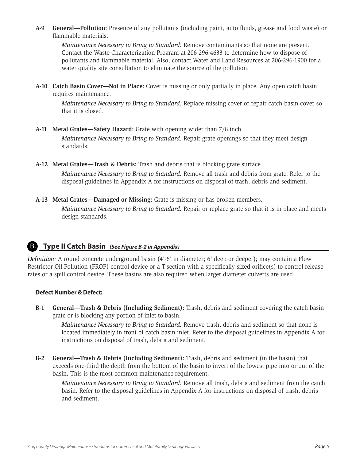**A-9 General—Pollution:** Presence of any pollutants (including paint, auto fluids, grease and food waste) or flammable materials.

*Maintenance Necessary to Bring to Standard:* Remove contaminants so that none are present. Contact the Waste Characterization Program at 206-296-4633 to determine how to dispose of pollutants and flammable material. Also, contact Water and Land Resources at 206-296-1900 for a water quality site consultation to eliminate the source of the pollution.

**A-10 Catch Basin Cover—Not in Place:** Cover is missing or only partially in place. Any open catch basin requires maintenance.

*Maintenance Necessary to Bring to Standard:* Replace missing cover or repair catch basin cover so that it is closed.

**A-11 Metal Grates—Safety Hazard:** Grate with opening wider than 7/8 inch.

*Maintenance Necessary to Bring to Standard:* Repair grate openings so that they meet design standards.

**A-12 Metal Grates—Trash & Debris:** Trash and debris that is blocking grate surface.

*Maintenance Necessary to Bring to Standard:* Remove all trash and debris from grate. Refer to the disposal guidelines in Appendix A for instructions on disposal of trash, debris and sediment.

**A-13 Metal Grates—Damaged or Missing:** Grate is missing or has broken members.

*Maintenance Necessary to Bring to Standard:* Repair or replace grate so that it is in place and meets design standards.

## **Type II Catch Basin** *(See Figure B-2 in Appendix)* B.

*Definition:* A round concrete underground basin (4'-8' in diameter; 6' deep or deeper); may contain a Flow Restrictor Oil Pollution (FROP) control device or a T-section with a specifically sized orifice(s) to control release rates or a spill control device. These basins are also required when larger diameter culverts are used.

### **Defect Number & Defect:**

**B-1 General—Trash & Debris (Including Sediment):** Trash, debris and sediment covering the catch basin grate or is blocking any portion of inlet to basin.

*Maintenance Necessary to Bring to Standard:* Remove trash, debris and sediment so that none is located immediately in front of catch basin inlet. Refer to the disposal guidelines in Appendix A for instructions on disposal of trash, debris and sediment.

**B-2 General—Trash & Debris (Including Sediment):** Trash, debris and sediment (in the basin) that exceeds one-third the depth from the bottom of the basin to invert of the lowest pipe into or out of the basin. This is the most common maintenance requirement.

*Maintenance Necessary to Bring to Standard:* Remove all trash, debris and sediment from the catch basin. Refer to the disposal guidelines in Appendix A for instructions on disposal of trash, debris and sediment.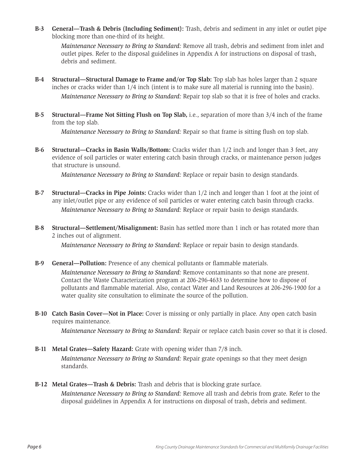**B-3 General—Trash & Debris (Including Sediment):** Trash, debris and sediment in any inlet or outlet pipe blocking more than one-third of its height.

*Maintenance Necessary to Bring to Standard:* Remove all trash, debris and sediment from inlet and outlet pipes. Refer to the disposal guidelines in Appendix A for instructions on disposal of trash, debris and sediment.

- **B-4 Structural—Structural Damage to Frame and/or Top Slab:** Top slab has holes larger than 2 square inches or cracks wider than 1/4 inch (intent is to make sure all material is running into the basin). *Maintenance Necessary to Bring to Standard:* Repair top slab so that it is free of holes and cracks.
- **B-5 Structural—Frame Not Sitting Flush on Top Slab,** i.e., separation of more than 3/4 inch of the frame from the top slab.

*Maintenance Necessary to Bring to Standard:* Repair so that frame is sitting flush on top slab.

**B-6 Structural—Cracks in Basin Walls/Bottom:** Cracks wider than 1/2 inch and longer than 3 feet, any evidence of soil particles or water entering catch basin through cracks, or maintenance person judges that structure is unsound.

*Maintenance Necessary to Bring to Standard:* Replace or repair basin to design standards.

- **B-7 Structural—Cracks in Pipe Joints:** Cracks wider than 1/2 inch and longer than 1 foot at the joint of any inlet/outlet pipe or any evidence of soil particles or water entering catch basin through cracks. *Maintenance Necessary to Bring to Standard:* Replace or repair basin to design standards.
- **B-8 Structural—Settlement/Misalignment:** Basin has settled more than 1 inch or has rotated more than 2 inches out of alignment.

*Maintenance Necessary to Bring to Standard:* Replace or repair basin to design standards.

**B-9 General—Pollution:** Presence of any chemical pollutants or flammable materials.

*Maintenance Necessary to Bring to Standard:* Remove contaminants so that none are present. Contact the Waste Characterization program at 206-296-4633 to determine how to dispose of pollutants and flammable material. Also, contact Water and Land Resources at 206-296-1900 for a water quality site consultation to eliminate the source of the pollution.

**B-10 Catch Basin Cover—Not in Place:** Cover is missing or only partially in place. Any open catch basin requires maintenance.

*Maintenance Necessary to Bring to Standard:* Repair or replace catch basin cover so that it is closed.

- **B-11 Metal Grates—Safety Hazard:** Grate with opening wider than 7/8 inch. *Maintenance Necessary to Bring to Standard:* Repair grate openings so that they meet design standards.
- **B-12 Metal Grates—Trash & Debris:** Trash and debris that is blocking grate surface. *Maintenance Necessary to Bring to Standard:* Remove all trash and debris from grate. Refer to the disposal guidelines in Appendix A for instructions on disposal of trash, debris and sediment.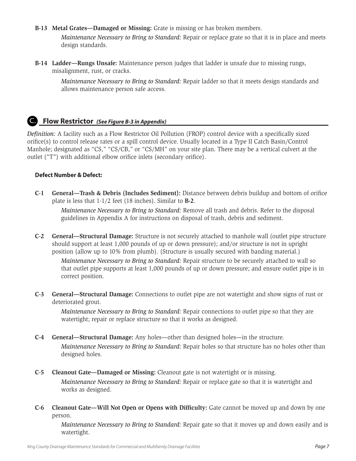**B-13 Metal Grates—Damaged or Missing:** Grate is missing or has broken members.

*Maintenance Necessary to Bring to Standard:* Repair or replace grate so that it is in place and meets design standards.

**B-14 Ladder—Rungs Unsafe:** Maintenance person judges that ladder is unsafe due to missing rungs, misalignment, rust, or cracks.

*Maintenance Necessary to Bring to Standard:* Repair ladder so that it meets design standards and allows maintenance person safe access.

## **Flow Restrictor** *(See Figure B-3 in Appendix)* C.

*Definition:* A facility such as a Flow Restrictor Oil Pollution (FROP) control device with a specifically sized orifice(s) to control release rates or a spill control device. Usually located in a Type II Catch Basin/Control Manhole; designated as "CS," "CS/CB," or "CS/MH" on your site plan. There may be a vertical culvert at the outlet ("T") with additional elbow orifice inlets (secondary orifice).

### **Defect Number & Defect:**

**C-1 General—Trash & Debris (Includes Sediment):** Distance between debris buildup and bottom of orifice plate is less that 1-1/2 feet (18 inches). Similar to **B-2**.

*Maintenance Necessary to Bring to Standard:* Remove all trash and debris. Refer to the disposal guidelines in Appendix A for instructions on disposal of trash, debris and sediment.

**C-2 General—Structural Damage:** Structure is not securely attached to manhole wall (outlet pipe structure should support at least 1,000 pounds of up or down pressure); and/or structure is not in upright position (allow up to 10% from plumb). (Structure is usually secured with banding material.)

*Maintenance Necessary to Bring to Standard:* Repair structure to be securely attached to wall so that outlet pipe supports at least 1,000 pounds of up or down pressure; and ensure outlet pipe is in correct position.

**C-3 General—Structural Damage:** Connections to outlet pipe are not watertight and show signs of rust or deteriorated grout.

*Maintenance Necessary to Bring to Standard:* Repair connections to outlet pipe so that they are watertight; repair or replace structure so that it works as designed.

- **C-4 General—Structural Damage:** Any holes—other than designed holes—in the structure. *Maintenance Necessary to Bring to Standard:* Repair holes so that structure has no holes other than designed holes.
- **C-5 Cleanout Gate—Damaged or Missing:** Cleanout gate is not watertight or is missing.

*Maintenance Necessary to Bring to Standard:* Repair or replace gate so that it is watertight and works as designed.

**C-6 Cleanout Gate—Will Not Open or Opens with Difficulty:** Gate cannot be moved up and down by one person.

*Maintenance Necessary to Bring to Standard:* Repair gate so that it moves up and down easily and is watertight.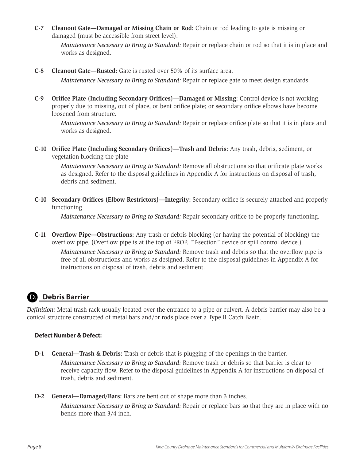**C-7 Cleanout Gate—Damaged or Missing Chain or Rod:** Chain or rod leading to gate is missing or damaged (must be accessible from street level).

*Maintenance Necessary to Bring to Standard:* Repair or replace chain or rod so that it is in place and works as designed.

**C-8 Cleanout Gate—Rusted:** Gate is rusted over 50% of its surface area.

*Maintenance Necessary to Bring to Standard:* Repair or replace gate to meet design standards.

**C-9 Orifice Plate (Including Secondary Orifices)—Damaged or Missing:** Control device is not working properly due to missing, out of place, or bent orifice plate; or secondary orifice elbows have become loosened from structure.

*Maintenance Necessary to Bring to Standard:* Repair or replace orifice plate so that it is in place and works as designed.

**C-10 Orifice Plate (Including Secondary Orifices)—Trash and Debris:** Any trash, debris, sediment, or vegetation blocking the plate

*Maintenance Necessary to Bring to Standard:* Remove all obstructions so that orificate plate works as designed. Refer to the disposal guidelines in Appendix A for instructions on disposal of trash, debris and sediment.

**C-10 Secondary Orifices (Elbow Restrictors)—Integrity:** Secondary orifice is securely attached and properly functioning

*Maintenance Necessary to Bring to Standard:* Repair secondary orifice to be properly functioning.

**C-11 Overflow Pipe—Obstructions:** Any trash or debris blocking (or having the potential of blocking) the overflow pipe. (Overflow pipe is at the top of FROP, "T-section" device or spill control device.)

*Maintenance Necessary to Bring to Standard:* Remove trash and debris so that the overflow pipe is free of all obstructions and works as designed. Refer to the disposal guidelines in Appendix A for instructions on disposal of trash, debris and sediment.

#### **Debris Barrier**  D.

*Definition:* Metal trash rack usually located over the entrance to a pipe or culvert. A debris barrier may also be a conical structure constructed of metal bars and/or rods place over a Type II Catch Basin.

### **Defect Number & Defect:**

- **D-1 General—Trash & Debris:** Trash or debris that is plugging of the openings in the barrier. *Maintenance Necessary to Bring to Standard:* Remove trash or debris so that barrier is clear to receive capacity flow. Refer to the disposal guidelines in Appendix A for instructions on disposal of trash, debris and sediment.
- **D-2 General—Damaged/Bars:** Bars are bent out of shape more than 3 inches. *Maintenance Necessary to Bring to Standard:* Repair or replace bars so that they are in place with no bends more than 3/4 inch.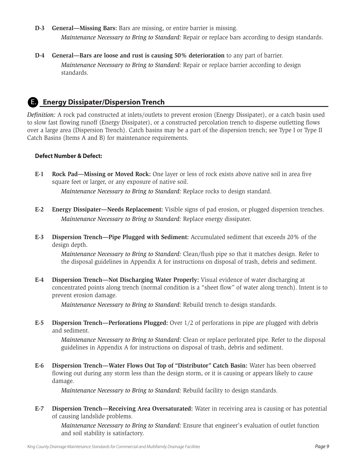- **D-3 General—Missing Bars:** Bars are missing, or entire barrier is missing. *Maintenance Necessary to Bring to Standard:* Repair or replace bars according to design standards.
- **D-4 General—Bars are loose and rust is causing 50% deterioration** to any part of barrier. *Maintenance Necessary to Bring to Standard:* Repair or replace barrier according to design standards.

## **Energy Dissipater/Dispersion Trench**  E.

*Definition:* A rock pad constructed at inlets/outlets to prevent erosion (Energy Dissipater), or a catch basin used to slow fast flowing runoff (Energy Dissipater), or a constructed percolation trench to disperse outletting flows over a large area (Dispersion Trench). Catch basins may be a part of the dispersion trench; see Type I or Type II Catch Basins (Items A and B) for maintenance requirements.

### **Defect Number & Defect:**

**E-1 Rock Pad—Missing or Moved Rock:** One layer or less of rock exists above native soil in area five square feet or larger, or any exposure of native soil.

*Maintenance Necessary to Bring to Standard:* Replace rocks to design standard.

- **E-2 Energy Dissipater—Needs Replacement:** Visible signs of pad erosion, or plugged dispersion trenches. *Maintenance Necessary to Bring to Standard:* Replace energy dissipater.
- **E-3 Dispersion Trench—Pipe Plugged with Sediment:** Accumulated sediment that exceeds 20% of the design depth.

*Maintenance Necessary to Bring to Standard:* Clean/flush pipe so that it matches design. Refer to the disposal guidelines in Appendix A for instructions on disposal of trash, debris and sediment.

**E-4 Dispersion Trench—Not Discharging Water Properly:** Visual evidence of water discharging at concentrated points along trench (normal condition is a "sheet flow" of water along trench). Intent is to prevent erosion damage.

*Maintenance Necessary to Bring to Standard:* Rebuild trench to design standards.

**E-5 Dispersion Trench—Perforations Plugged:** Over 1/2 of perforations in pipe are plugged with debris and sediment.

*Maintenance Necessary to Bring to Standard:* Clean or replace perforated pipe. Refer to the disposal guidelines in Appendix A for instructions on disposal of trash, debris and sediment.

**E-6 Dispersion Trench—Water Flows Out Top of "Distributor" Catch Basin:** Water has been observed flowing out during any storm less than the design storm, or it is causing or appears likely to cause damage.

*Maintenance Necessary to Bring to Standard:* Rebuild facility to design standards.

**E-7 Dispersion Trench—Receiving Area Oversaturated:** Water in receiving area is causing or has potential of causing landslide problems.

*Maintenance Necessary to Bring to Standard:* Ensure that engineer's evaluation of outlet function and soil stability is satisfactory.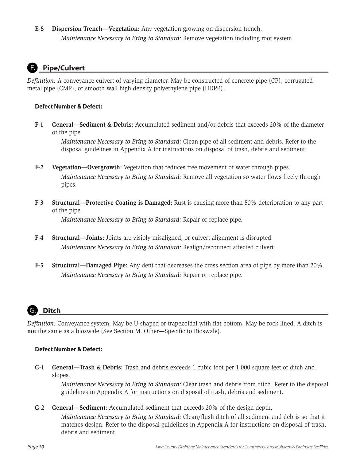**E-8 Dispersion Trench—Vegetation:** Any vegetation growing on dispersion trench. *Maintenance Necessary to Bring to Standard:* Remove vegetation including root system.

## **Pipe/Culvert**

*Definition:* A conveyance culvert of varying diameter. May be constructed of concrete pipe (CP), corrugated metal pipe (CMP), or smooth wall high density polyethylene pipe (HDPP).

### **Defect Number & Defect:**

**F-1 General—Sediment & Debris:** Accumulated sediment and/or debris that exceeds 20% of the diameter of the pipe.

*Maintenance Necessary to Bring to Standard:* Clean pipe of all sediment and debris. Refer to the disposal guidelines in Appendix A for instructions on disposal of trash, debris and sediment.

- **F-2 Vegetation—Overgrowth:** Vegetation that reduces free movement of water through pipes. *Maintenance Necessary to Bring to Standard:* Remove all vegetation so water flows freely through pipes.
- **F-3 Structural—Protective Coating is Damaged:** Rust is causing more than 50% deterioration to any part of the pipe.

*Maintenance Necessary to Bring to Standard:* Repair or replace pipe.

- **F-4 Structural—Joints:** Joints are visibly misaligned, or culvert alignment is disrupted. *Maintenance Necessary to Bring to Standard:* Realign/reconnect affected culvert.
- **F-5 Structural—Damaged Pipe:** Any dent that decreases the cross section area of pipe by more than 20%. *Maintenance Necessary to Bring to Standard:* Repair or replace pipe.



*Definition:* Conveyance system. May be U-shaped or trapezoidal with flat bottom. May be rock lined. A ditch is **not** the same as a bioswale (See Section M. Other—Specific to Bioswale).

### **Defect Number & Defect:**

**G-1 General—Trash & Debris:** Trash and debris exceeds 1 cubic foot per 1,000 square feet of ditch and slopes.

*Maintenance Necessary to Bring to Standard:* Clear trash and debris from ditch. Refer to the disposal guidelines in Appendix A for instructions on disposal of trash, debris and sediment.

**G-2 General—Sediment:** Accumulated sediment that exceeds 20% of the design depth.

*Maintenance Necessary to Bring to Standard:* Clean/flush ditch of all sediment and debris so that it matches design. Refer to the disposal guidelines in Appendix A for instructions on disposal of trash, debris and sediment.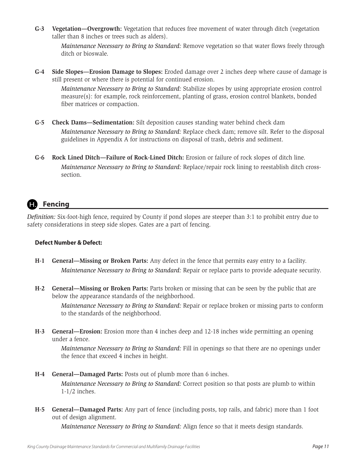**G-3 Vegetation—Overgrowth:** Vegetation that reduces free movement of water through ditch (vegetation taller than 8 inches or trees such as alders).

*Maintenance Necessary to Bring to Standard:* Remove vegetation so that water flows freely through ditch or bioswale.

**G-4 Side Slopes—Erosion Damage to Slopes:** Eroded damage over 2 inches deep where cause of damage is still present or where there is potential for continued erosion.

*Maintenance Necessary to Bring to Standard:* Stabilize slopes by using appropriate erosion control measure(s): for example, rock reinforcement, planting of grass, erosion control blankets, bonded fiber matrices or compaction.

- **G-5 Check Dams—Sedimentation:** Silt deposition causes standing water behind check dam *Maintenance Necessary to Bring to Standard:* Replace check dam; remove silt. Refer to the disposal guidelines in Appendix A for instructions on disposal of trash, debris and sediment.
- **G-6 Rock Lined Ditch—Failure of Rock-Lined Ditch:** Erosion or failure of rock slopes of ditch line. *Maintenance Necessary to Bring to Standard:* Replace/repair rock lining to reestablish ditch crosssection.

## **Fencing**

*Definition:* Six-foot-high fence, required by County if pond slopes are steeper than 3:1 to prohibit entry due to safety considerations in steep side slopes. Gates are a part of fencing.

## **Defect Number & Defect:**

- **H-1 General—Missing or Broken Parts:** Any defect in the fence that permits easy entry to a facility. *Maintenance Necessary to Bring to Standard:* Repair or replace parts to provide adequate security.
- **H-2 General—Missing or Broken Parts:** Parts broken or missing that can be seen by the public that are below the appearance standards of the neighborhood.

*Maintenance Necessary to Bring to Standard:* Repair or replace broken or missing parts to conform to the standards of the neighborhood.

**H-3 General—Erosion:** Erosion more than 4 inches deep and 12-18 inches wide permitting an opening under a fence.

*Maintenance Necessary to Bring to Standard:* Fill in openings so that there are no openings under the fence that exceed 4 inches in height.

- **H-4 General—Damaged Parts:** Posts out of plumb more than 6 inches. *Maintenance Necessary to Bring to Standard:* Correct position so that posts are plumb to within 1-1/2 inches.
- **H-5 General—Damaged Parts:** Any part of fence (including posts, top rails, and fabric) more than 1 foot out of design alignment.

*Maintenance Necessary to Bring to Standard:* Align fence so that it meets design standards.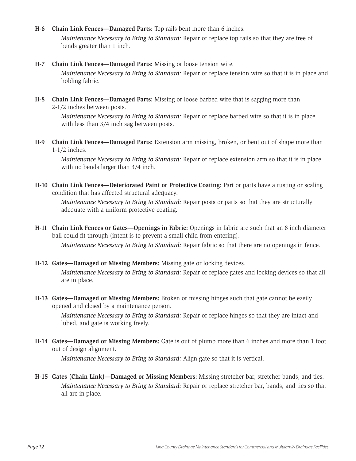**H-6 Chain Link Fences—Damaged Parts:** Top rails bent more than 6 inches.

*Maintenance Necessary to Bring to Standard:* Repair or replace top rails so that they are free of bends greater than 1 inch.

**H-7 Chain Link Fences—Damaged Parts:** Missing or loose tension wire.

*Maintenance Necessary to Bring to Standard:* Repair or replace tension wire so that it is in place and holding fabric.

**H-8 Chain Link Fences—Damaged Parts:** Missing or loose barbed wire that is sagging more than 2-1/2 inches between posts.

*Maintenance Necessary to Bring to Standard:* Repair or replace barbed wire so that it is in place with less than  $3/4$  inch sag between posts.

**H-9 Chain Link Fences—Damaged Parts:** Extension arm missing, broken, or bent out of shape more than 1-1/2 inches.

*Maintenance Necessary to Bring to Standard:* Repair or replace extension arm so that it is in place with no bends larger than 3/4 inch.

**H-10 Chain Link Fences—Deteriorated Paint or Protective Coating:** Part or parts have a rusting or scaling condition that has affected structural adequacy.

*Maintenance Necessary to Bring to Standard:* Repair posts or parts so that they are structurally adequate with a uniform protective coating.

- **H-11 Chain Link Fences or Gates—Openings in Fabric:** Openings in fabric are such that an 8 inch diameter ball could fit through (intent is to prevent a small child from entering). *Maintenance Necessary to Bring to Standard:* Repair fabric so that there are no openings in fence.
- **H-12 Gates—Damaged or Missing Members:** Missing gate or locking devices.

*Maintenance Necessary to Bring to Standard:* Repair or replace gates and locking devices so that all are in place.

**H-13 Gates—Damaged or Missing Members:** Broken or missing hinges such that gate cannot be easily opened and closed by a maintenance person.

*Maintenance Necessary to Bring to Standard:* Repair or replace hinges so that they are intact and lubed, and gate is working freely.

**H-14 Gates—Damaged or Missing Members:** Gate is out of plumb more than 6 inches and more than 1 foot out of design alignment.

*Maintenance Necessary to Bring to Standard:* Align gate so that it is vertical.

**H-15 Gates (Chain Link)—Damaged or Missing Members:** Missing stretcher bar, stretcher bands, and ties. *Maintenance Necessary to Bring to Standard:* Repair or replace stretcher bar, bands, and ties so that all are in place.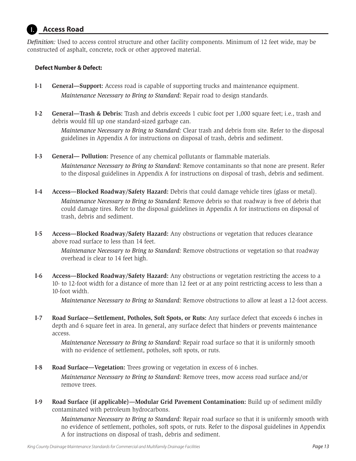#### **Access Road**  I.

*Definition:* Used to access control structure and other facility components. Minimum of 12 feet wide, may be constructed of asphalt, concrete, rock or other approved material.

### **Defect Number & Defect:**

- **I-1 General—Support:** Access road is capable of supporting trucks and maintenance equipment. *Maintenance Necessary to Bring to Standard:* Repair road to design standards.
- **I-2 General—Trash & Debris:** Trash and debris exceeds 1 cubic foot per 1,000 square feet; i.e., trash and debris would fill up one standard-sized garbage can.

*Maintenance Necessary to Bring to Standard:* Clear trash and debris from site. Refer to the disposal guidelines in Appendix A for instructions on disposal of trash, debris and sediment.

- **I-3 General— Pollution:** Presence of any chemical pollutants or flammable materials. *Maintenance Necessary to Bring to Standard:* Remove contaminants so that none are present. Refer to the disposal guidelines in Appendix A for instructions on disposal of trash, debris and sediment.
- **I-4 Access—Blocked Roadway/Safety Hazard:** Debris that could damage vehicle tires (glass or metal). *Maintenance Necessary to Bring to Standard:* Remove debris so that roadway is free of debris that could damage tires. Refer to the disposal guidelines in Appendix A for instructions on disposal of trash, debris and sediment.
- **I-5 Access—Blocked Roadway/Safety Hazard:** Any obstructions or vegetation that reduces clearance above road surface to less than 14 feet.

*Maintenance Necessary to Bring to Standard:* Remove obstructions or vegetation so that roadway overhead is clear to 14 feet high.

**I-6 Access—Blocked Roadway/Safety Hazard:** Any obstructions or vegetation restricting the access to a 10- to 12-foot width for a distance of more than 12 feet or at any point restricting access to less than a 10-foot width.

*Maintenance Necessary to Bring to Standard:* Remove obstructions to allow at least a 12-foot access.

**I-7 Road Surface—Settlement, Potholes, Soft Spots, or Ruts:** Any surface defect that exceeds 6 inches in depth and 6 square feet in area. In general, any surface defect that hinders or prevents maintenance access.

*Maintenance Necessary to Bring to Standard:* Repair road surface so that it is uniformly smooth with no evidence of settlement, potholes, soft spots, or ruts.

**I-8 Road Surface—Vegetation:** Trees growing or vegetation in excess of 6 inches.

*Maintenance Necessary to Bring to Standard:* Remove trees, mow access road surface and/or remove trees.

**I-9 Road Surface (if applicable)—Modular Grid Pavement Contamination:** Build up of sediment mildly contaminated with petroleum hydrocarbons.

*Maintenance Necessary to Bring to Standard:* Repair road surface so that it is uniformly smooth with no evidence of settlement, potholes, soft spots, or ruts. Refer to the disposal guidelines in Appendix A for instructions on disposal of trash, debris and sediment.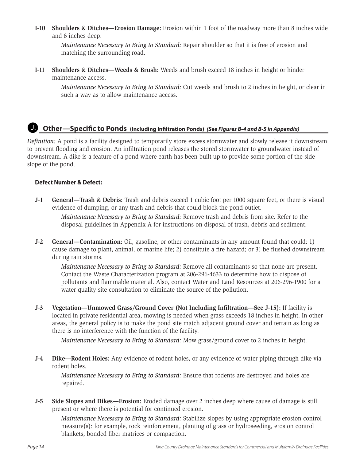**I-10 Shoulders & Ditches—Erosion Damage:** Erosion within 1 foot of the roadway more than 8 inches wide and 6 inches deep.

*Maintenance Necessary to Bring to Standard:* Repair shoulder so that it is free of erosion and matching the surrounding road.

**I-11 Shoulders & Ditches—Weeds & Brush:** Weeds and brush exceed 18 inches in height or hinder maintenance access.

*Maintenance Necessary to Bring to Standard:* Cut weeds and brush to 2 inches in height, or clear in such a way as to allow maintenance access.

## **Other—Specific to Ponds (Including Infiltration Ponds)** *(See Figures B-4 and B-5 in Appendix)* J.

*Definition:* A pond is a facility designed to temporarily store excess stormwater and slowly release it downstream to prevent flooding and erosion. An infiltration pond releases the stored stormwater to groundwater instead of downstream. A dike is a feature of a pond where earth has been built up to provide some portion of the side slope of the pond.

### **Defect Number & Defect:**

**J-1 General—Trash & Debris:** Trash and debris exceed 1 cubic foot per 1000 square feet, or there is visual evidence of dumping, or any trash and debris that could block the pond outlet.

*Maintenance Necessary to Bring to Standard:* Remove trash and debris from site. Refer to the disposal guidelines in Appendix A for instructions on disposal of trash, debris and sediment.

**J-2 General—Contamination:** Oil, gasoline, or other contaminants in any amount found that could: 1) cause damage to plant, animal, or marine life; 2) constitute a fire hazard; or 3) be flushed downstream during rain storms.

*Maintenance Necessary to Bring to Standard:* Remove all contaminants so that none are present. Contact the Waste Characterization program at 206-296-4633 to determine how to dispose of pollutants and flammable material. Also, contact Water and Land Resources at 206-296-1900 for a water quality site consultation to eliminate the source of the pollution.

**J-3 Vegetation—Unmowed Grass/Ground Cover (Not Including Infiltration—See J-15):** If facility is located in private residential area, mowing is needed when grass exceeds 18 inches in height. In other areas, the general policy is to make the pond site match adjacent ground cover and terrain as long as there is no interference with the function of the facility.

*Maintenance Necessary to Bring to Standard:* Mow grass/ground cover to 2 inches in height.

**J-4 Dike—Rodent Holes:** Any evidence of rodent holes, or any evidence of water piping through dike via rodent holes.

*Maintenance Necessary to Bring to Standard:* Ensure that rodents are destroyed and holes are repaired.

**J-5 Side Slopes and Dikes—Erosion:** Eroded damage over 2 inches deep where cause of damage is still present or where there is potential for continued erosion.

*Maintenance Necessary to Bring to Standard:* Stabilize slopes by using appropriate erosion control measure(s): for example, rock reinforcement, planting of grass or hydroseeding, erosion control blankets, bonded fiber matrices or compaction.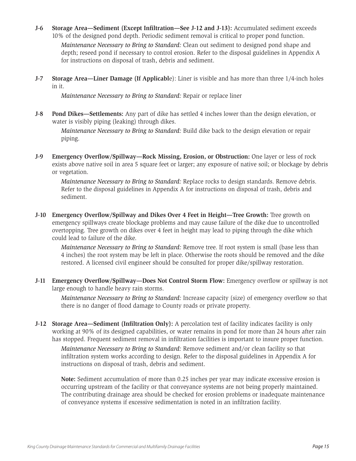- **J-6 Storage Area—Sediment (Except Infiltration—See J-12 and J-13):** Accumulated sediment exceeds 10% of the designed pond depth. Periodic sediment removal is critical to proper pond function. *Maintenance Necessary to Bring to Standard:* Clean out sediment to designed pond shape and depth; reseed pond if necessary to control erosion. Refer to the disposal guidelines in Appendix A for instructions on disposal of trash, debris and sediment.
- **J-7 Storage Area—Liner Damage (If Applicabl**e): Liner is visible and has more than three 1/4-inch holes in it.

*Maintenance Necessary to Bring to Standard:* Repair or replace liner

**J-8 Pond Dikes—Settlements:** Any part of dike has settled 4 inches lower than the design elevation, or water is visibly piping (leaking) through dikes.

*Maintenance Necessary to Bring to Standard:* Build dike back to the design elevation or repair piping.

**J-9 Emergency Overflow/Spillway—Rock Missing, Erosion, or Obstruction:** One layer or less of rock exists above native soil in area 5 square feet or larger; any exposure of native soil; or blockage by debris or vegetation.

*Maintenance Necessary to Bring to Standard:* Replace rocks to design standards. Remove debris. Refer to the disposal guidelines in Appendix A for instructions on disposal of trash, debris and sediment.

**J-10 Emergency Overflow/Spillway and Dikes Over 4 Feet in Height—Tree Growth:** Tree growth on emergency spillways create blockage problems and may cause failure of the dike due to uncontrolled overtopping. Tree growth on dikes over 4 feet in height may lead to piping through the dike which could lead to failure of the dike.

*Maintenance Necessary to Bring to Standard:* Remove tree. If root system is small (base less than 4 inches) the root system may be left in place. Otherwise the roots should be removed and the dike restored. A licensed civil engineer should be consulted for proper dike/spillway restoration.

**J-11 Emergency Overflow/Spillway—Does Not Control Storm Flow:** Emergency overflow or spillway is not large enough to handle heavy rain storms.

*Maintenance Necessary to Bring to Standard:* Increase capacity (size) of emergency overflow so that there is no danger of flood damage to County roads or private property.

**J-12 Storage Area—Sediment (Infiltration Only):** A percolation test of facility indicates facility is only working at 90% of its designed capabilities, or water remains in pond for more than 24 hours after rain has stopped. Frequent sediment removal in infiltration facilities is important to insure proper function.

*Maintenance Necessary to Bring to Standard:* Remove sediment and/or clean facility so that infiltration system works according to design. Refer to the disposal guidelines in Appendix A for instructions on disposal of trash, debris and sediment.

**Note:** Sediment accumulation of more than 0.25 inches per year may indicate excessive erosion is occurring upstream of the facility or that conveyance systems are not being properly maintained. The contributing drainage area should be checked for erosion problems or inadequate maintenance of conveyance systems if excessive sedimentation is noted in an infiltration facility.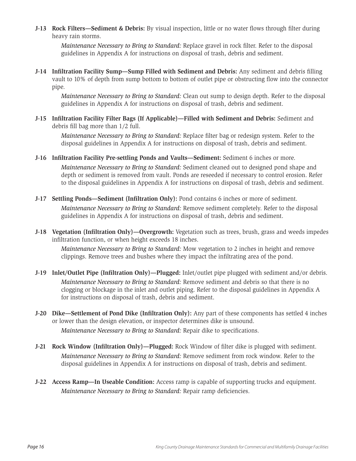**J-13 Rock Filters—Sediment & Debris:** By visual inspection, little or no water flows through filter during heavy rain storms.

*Maintenance Necessary to Bring to Standard:* Replace gravel in rock filter. Refer to the disposal guidelines in Appendix A for instructions on disposal of trash, debris and sediment.

**J-14 Infiltration Facility Sump—Sump Filled with Sediment and Debris:** Any sediment and debris filling vault to 10% of depth from sump bottom to bottom of outlet pipe or obstructing flow into the connector pipe.

*Maintenance Necessary to Bring to Standard:* Clean out sump to design depth. Refer to the disposal guidelines in Appendix A for instructions on disposal of trash, debris and sediment.

**J-15 Infiltration Facility Filter Bags (If Applicable)—Filled with Sediment and Debris:** Sediment and debris fill bag more than 1/2 full.

*Maintenance Necessary to Bring to Standard:* Replace filter bag or redesign system. Refer to the disposal guidelines in Appendix A for instructions on disposal of trash, debris and sediment.

**J-16 Infiltration Facility Pre-settling Ponds and Vaults—Sediment:** Sediment 6 inches or more.

*Maintenance Necessary to Bring to Standard:* Sediment cleaned out to designed pond shape and depth or sediment is removed from vault. Ponds are reseeded if necessary to control erosion. Refer to the disposal guidelines in Appendix A for instructions on disposal of trash, debris and sediment.

- **J-17 Settling Ponds—Sediment (Infiltration Only):** Pond contains 6 inches or more of sediment. *Maintenance Necessary to Bring to Standard:* Remove sediment completely. Refer to the disposal guidelines in Appendix A for instructions on disposal of trash, debris and sediment.
- **J-18 Vegetation (Infiltration Only)—Overgrowth:** Vegetation such as trees, brush, grass and weeds impedes infiltration function, or when height exceeds 18 inches.

*Maintenance Necessary to Bring to Standard:* Mow vegetation to 2 inches in height and remove clippings. Remove trees and bushes where they impact the infiltrating area of the pond.

- **J-19 Inlet/Outlet Pipe (Infiltration Only)—Plugged:** Inlet/outlet pipe plugged with sediment and/or debris. *Maintenance Necessary to Bring to Standard:* Remove sediment and debris so that there is no clogging or blockage in the inlet and outlet piping. Refer to the disposal guidelines in Appendix A for instructions on disposal of trash, debris and sediment.
- **J-20 Dike—Settlement of Pond Dike (Infiltration Only):** Any part of these components has settled 4 inches or lower than the design elevation, or inspector determines dike is unsound. *Maintenance Necessary to Bring to Standard:* Repair dike to specifications.
- **J-21 Rock Window (Infiltration Only)—Plugged:** Rock Window of filter dike is plugged with sediment. *Maintenance Necessary to Bring to Standard:* Remove sediment from rock window. Refer to the disposal guidelines in Appendix A for instructions on disposal of trash, debris and sediment.
- **J-22 Access Ramp—In Useable Condition:** Access ramp is capable of supporting trucks and equipment. *Maintenance Necessary to Bring to Standard:* Repair ramp deficiencies.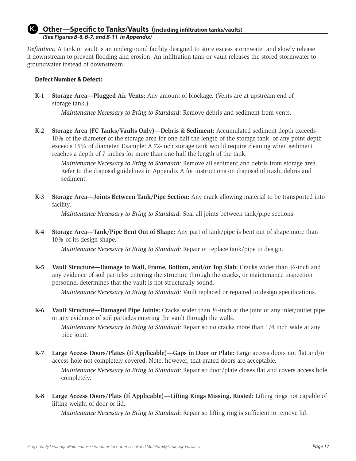#### **Other—Specific to Tanks/Vaults (Including infiltration tanks/vaults)**  *(See Figures B-6, B-7, and B-11 in Appendix)* K.

*Definition:* A tank or vault is an underground facility designed to store excess stormwater and slowly release it downstream to prevent flooding and erosion. An infiltration tank or vault releases the stored stormwater to groundwater instead of downstream.

### **Defect Number & Defect:**

**K-1 Storage Area—Plugged Air Vents:** Any amount of blockage. (Vents are at upstream end of storage tank.)

*Maintenance Necessary to Bring to Standard:* Remove debris and sediment from vents.

**K-2 Storage Area (FC Tanks/Vaults Only)—Debris & Sediment:** Accumulated sediment depth exceeds 10% of the diameter of the storage area for one-half the length of the storage tank, or any point depth exceeds 15% of diameter. Example: A 72-inch storage tank would require cleaning when sediment reaches a depth of 7 inches for more than one-half the length of the tank.

*Maintenance Necessary to Bring to Standard:* Remove all sediment and debris from storage area. Refer to the disposal guidelines in Appendix A for instructions on disposal of trash, debris and sediment.

**K-3 Storage Area—Joints Between Tank/Pipe Section:** Any crack allowing material to be transported into facility.

*Maintenance Necessary to Bring to Standard:* Seal all joints between tank/pipe sections.

**K-4 Storage Area—Tank/Pipe Bent Out of Shape:** Any part of tank/pipe is bent out of shape more than 10% of its design shape.

*Maintenance Necessary to Bring to Standard:* Repair or replace tank/pipe to design.

**K-5 Vault Structure—Damage to Wall, Frame, Bottom, and/or Top Slab:** Cracks wider than ½-inch and any evidence of soil particles entering the structure through the cracks, or maintenance inspection personnel determines that the vault is not structurally sound.

*Maintenance Necessary to Bring to Standard:* Vault replaced or repaired to design specifications.

**K-6 Vault Structure—Damaged Pipe Joints:** Cracks wider than ½-inch at the joint of any inlet/outlet pipe or any evidence of soil particles entering the vault through the walls.

*Maintenance Necessary to Bring to Standard:* Repair so no cracks more than 1/4 inch wide at any pipe joint.

**K-7 Large Access Doors/Plates (If Applicable)—Gaps in Door or Plate:** Large access doors not flat and/or access hole not completely covered. Note, however, that grated doors are acceptable.

*Maintenance Necessary to Bring to Standard:* Repair so door/plate closes flat and covers access hole completely.

**K-8 Large Access Doors/Plats (If Applicable)—Lifting Rings Missing, Rusted:** Lifting rings not capable of lifting weight of door or lid.

*Maintenance Necessary to Bring to Standard:* Repair so lifting ring is sufficient to remove lid.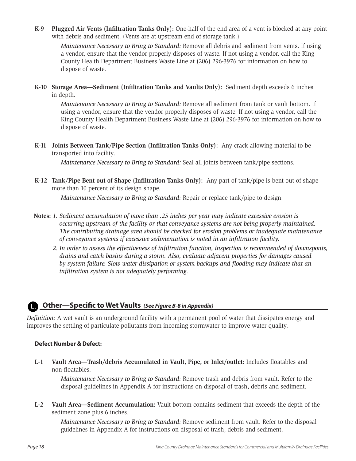**K-9 Plugged Air Vents (Infiltration Tanks Only):** One-half of the end area of a vent is blocked at any point with debris and sediment. (Vents are at upstream end of storage tank.)

*Maintenance Necessary to Bring to Standard:* Remove all debris and sediment from vents. If using a vendor, ensure that the vendor properly disposes of waste. If not using a vendor, call the King County Health Department Business Waste Line at (206) 296-3976 for information on how to dispose of waste.

**K-10 Storage Area—Sediment (Infiltration Tanks and Vaults Only):** Sediment depth exceeds 6 inches in depth.

*Maintenance Necessary to Bring to Standard:* Remove all sediment from tank or vault bottom. If using a vendor, ensure that the vendor properly disposes of waste. If not using a vendor, call the King County Health Department Business Waste Line at (206) 296-3976 for information on how to dispose of waste.

**K-11 Joints Between Tank/Pipe Section (Infiltration Tanks Only):** Any crack allowing material to be transported into facility.

*Maintenance Necessary to Bring to Standard:* Seal all joints between tank/pipe sections.

**K-12 Tank/Pipe Bent out of Shape (Infiltration Tanks Only):** Any part of tank/pipe is bent out of shape more than 10 percent of its design shape.

*Maintenance Necessary to Bring to Standard:* Repair or replace tank/pipe to design.

- **Notes:** *1. Sediment accumulation of more than .25 inches per year may indicate excessive erosion is occurring upstream of the facility or that conveyance systems are not being properly maintained. The contributing drainage area should be checked for erosion problems or inadequate maintenance of conveyance systems if excessive sedimentation is noted in an infiltration facility.*
	- *2. In order to assess the effectiveness of infiltration function, inspection is recommended of downspouts, drains and catch basins during a storm. Also, evaluate adjacent properties for damages caused by system failure. Slow water dissipation or system backups and flooding may indicate that an infiltration system is not adequately performing.*

## **Cher—Specific to Wet Vaults** *(See Figure B-8 in Appendix)*

*Definition:* A wet vault is an underground facility with a permanent pool of water that dissipates energy and improves the settling of particulate pollutants from incoming stormwater to improve water quality.

### **Defect Number & Defect:**

**L-1 Vault Area—Trash/debris Accumulated in Vault, Pipe, or Inlet/outlet:** Includes floatables and non-floatables.

*Maintenance Necessary to Bring to Standard:* Remove trash and debris from vault. Refer to the disposal guidelines in Appendix A for instructions on disposal of trash, debris and sediment.

**L-2 Vault Area—Sediment Accumulation:** Vault bottom contains sediment that exceeds the depth of the sediment zone plus 6 inches.

*Maintenance Necessary to Bring to Standard:* Remove sediment from vault. Refer to the disposal guidelines in Appendix A for instructions on disposal of trash, debris and sediment.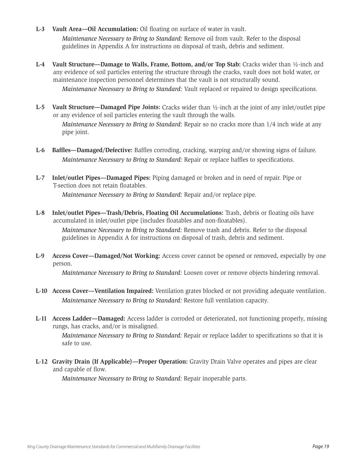- **L-3 Vault Area—Oil Accumulation:** Oil floating on surface of water in vault. *Maintenance Necessary to Bring to Standard:* Remove oil from vault. Refer to the disposal guidelines in Appendix A for instructions on disposal of trash, debris and sediment.
- **L-4 Vault Structure—Damage to Walls, Frame, Bottom, and/or Top Stab:** Cracks wider than ½-inch and any evidence of soil particles entering the structure through the cracks, vault does not hold water, or maintenance inspection personnel determines that the vault is not structurally sound. *Maintenance Necessary to Bring to Standard:* Vault replaced or repaired to design specifications.
- **L-5 Vault Structure—Damaged Pipe Joints:** Cracks wider than ½-inch at the joint of any inlet/outlet pipe or any evidence of soil particles entering the vault through the walls.

*Maintenance Necessary to Bring to Standard:* Repair so no cracks more than 1/4 inch wide at any pipe joint.

- **L-6 Baffles—Damaged/Defective:** Baffles corroding, cracking, warping and/or showing signs of failure. *Maintenance Necessary to Bring to Standard:* Repair or replace baffles to specifications.
- **L-7 Inlet/outlet Pipes—Damaged Pipes:** Piping damaged or broken and in need of repair. Pipe or T-section does not retain floatables. *Maintenance Necessary to Bring to Standard:* Repair and/or replace pipe.
- **L-8 Inlet/outlet Pipes—Trash/Debris, Floating Oil Accumulations:** Trash, debris or floating oils have accumulated in inlet/outlet pipe (includes floatables and non-floatables).

*Maintenance Necessary to Bring to Standard:* Remove trash and debris. Refer to the disposal guidelines in Appendix A for instructions on disposal of trash, debris and sediment.

**L-9 Access Cover—Damaged/Not Working:** Access cover cannot be opened or removed, especially by one person.

*Maintenance Necessary to Bring to Standard:* Loosen cover or remove objects hindering removal.

- **L-10 Access Cover—Ventilation Impaired:** Ventilation grates blocked or not providing adequate ventilation. *Maintenance Necessary to Bring to Standard:* Restore full ventilation capacity.
- **L-11 Access Ladder—Damaged:** Access ladder is corroded or deteriorated, not functioning properly, missing rungs, has cracks, and/or is misaligned.

*Maintenance Necessary to Bring to Standard:* Repair or replace ladder to specifications so that it is safe to use.

**L-12 Gravity Drain (If Applicable)—Proper Operation:** Gravity Drain Valve operates and pipes are clear and capable of flow.

*Maintenance Necessary to Bring to Standard:* Repair inoperable parts.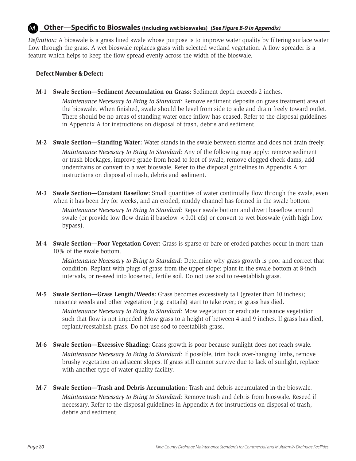#### **Other—Specific to Bioswales (Including wet bioswales)** *(See Figure B-9 in Appendix)* M.

*Definition:* A bioswale is a grass lined swale whose purpose is to improve water quality by filtering surface water flow through the grass. A wet bioswale replaces grass with selected wetland vegetation. A flow spreader is a feature which helps to keep the flow spread evenly across the width of the bioswale.

### **Defect Number & Defect:**

**M-1 Swale Section—Sediment Accumulation on Grass:** Sediment depth exceeds 2 inches.

*Maintenance Necessary to Bring to Standard:* Remove sediment deposits on grass treatment area of the bioswale. When finished, swale should be level from side to side and drain freely toward outlet. There should be no areas of standing water once inflow has ceased. Refer to the disposal guidelines in Appendix A for instructions on disposal of trash, debris and sediment.

- **M-2 Swale Section—Standing Water:** Water stands in the swale between storms and does not drain freely. *Maintenance Necessary to Bring to Standard:* Any of the following may apply: remove sediment or trash blockages, improve grade from head to foot of swale, remove clogged check dams, add underdrains or convert to a wet bioswale. Refer to the disposal guidelines in Appendix A for instructions on disposal of trash, debris and sediment.
- **M-3 Swale Section—Constant Baseflow:** Small quantities of water continually flow through the swale, even when it has been dry for weeks, and an eroded, muddy channel has formed in the swale bottom. *Maintenance Necessary to Bring to Standard:* Repair swale bottom and divert baseflow around swale (or provide low flow drain if baselow <0.01 cfs) or convert to wet bioswale (with high flow bypass).
- **M-4 Swale Section—Poor Vegetation Cover:** Grass is sparse or bare or eroded patches occur in more than 10% of the swale bottom.

*Maintenance Necessary to Bring to Standard:* Determine why grass growth is poor and correct that condition. Replant with plugs of grass from the upper slope: plant in the swale bottom at 8-inch intervals, or re-seed into loosened, fertile soil. Do not use sod to re-establish grass.

**M-5 Swale Section—Grass Length/Weeds:** Grass becomes excessively tall (greater than 10 inches); nuisance weeds and other vegetation (e.g. cattails) start to take over; or grass has died.

*Maintenance Necessary to Bring to Standard:* Mow vegetation or eradicate nuisance vegetation such that flow is not impeded. Mow grass to a height of between 4 and 9 inches. If grass has died, replant/reestablish grass. Do not use sod to reestablish grass.

- **M-6 Swale Section—Excessive Shading:** Grass growth is poor because sunlight does not reach swale. *Maintenance Necessary to Bring to Standard:* If possible, trim back over-hanging limbs, remove brushy vegetation on adjacent slopes. If grass still cannot survive due to lack of sunlight, replace with another type of water quality facility.
- **M-7 Swale Section—Trash and Debris Accumulation:** Trash and debris accumulated in the bioswale. *Maintenance Necessary to Bring to Standard:* Remove trash and debris from bioswale. Reseed if necessary. Refer to the disposal guidelines in Appendix A for instructions on disposal of trash, debris and sediment.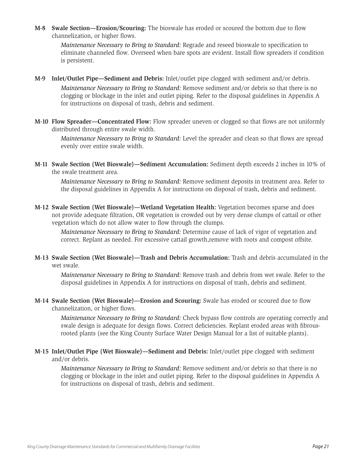**M-8 Swale Section—Erosion/Scouring:** The bioswale has eroded or scoured the bottom due to flow channelization, or higher flows.

*Maintenance Necessary to Bring to Standard:* Regrade and reseed bioswale to specification to eliminate channeled flow. Overseed when bare spots are evident. Install flow spreaders if condition is persistent.

- **M-9 Inlet/Outlet Pipe—Sediment and Debris:** Inlet/outlet pipe clogged with sediment and/or debris. *Maintenance Necessary to Bring to Standard:* Remove sediment and/or debris so that there is no clogging or blockage in the inlet and outlet piping. Refer to the disposal guidelines in Appendix A for instructions on disposal of trash, debris and sediment.
- **M-10 Flow Spreader—Concentrated Flow:** Flow spreader uneven or clogged so that flows are not uniformly distributed through entire swale width.

*Maintenance Necessary to Bring to Standard:* Level the spreader and clean so that flows are spread evenly over entire swale width.

**M-11 Swale Section (Wet Bioswale)—Sediment Accumulation:** Sediment depth exceeds 2 inches in 10% of the swale treatment area.

*Maintenance Necessary to Bring to Standard:* Remove sediment deposits in treatment area. Refer to the disposal guidelines in Appendix A for instructions on disposal of trash, debris and sediment.

**M-12 Swale Section (Wet Bioswale)—Wetland Vegetation Health:** Vegetation becomes sparse and does not provide adequate filtration, OR vegetation is crowded out by very dense clumps of cattail or other vegetation which do not allow water to flow through the clumps.

*Maintenance Necessary to Bring to Standard:* Determine cause of lack of vigor of vegetation and correct. Replant as needed. For excessive cattail growth,remove with roots and compost offsite.

**M-13 Swale Section (Wet Bioswale)—Trash and Debris Accumulation:** Trash and debris accumulated in the wet swale.

*Maintenance Necessary to Bring to Standard:* Remove trash and debris from wet swale. Refer to the disposal guidelines in Appendix A for instructions on disposal of trash, debris and sediment.

**M-14 Swale Section (Wet Bioswale)—Erosion and Scouring:** Swale has eroded or scoured due to flow channelization, or higher flows.

*Maintenance Necessary to Bring to Standard:* Check bypass flow controls are operating correctly and swale design is adequate for design flows. Correct deficiencies. Replant eroded areas with fibrousrooted plants (see the King County Surface Water Design Manual for a list of suitable plants).

**M-15 Inlet/Outlet Pipe (Wet Bioswale)—Sediment and Debris:** Inlet/outlet pipe clogged with sediment and/or debris.

*Maintenance Necessary to Bring to Standard:* Remove sediment and/or debris so that there is no clogging or blockage in the inlet and outlet piping. Refer to the disposal guidelines in Appendix A for instructions on disposal of trash, debris and sediment.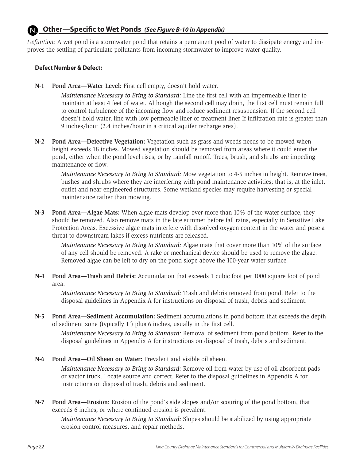#### **Other—Specific to Wet Ponds** *(See Figure B-10 in Appendix)* N.

*Definition:* A wet pond is a stormwater pond that retains a permanent pool of water to dissipate energy and improves the settling of particulate pollutants from incoming stormwater to improve water quality.

### **Defect Number & Defect:**

**N-1 Pond Area—Water Level:** First cell empty, doesn't hold water.

*Maintenance Necessary to Bring to Standard:* Line the first cell with an impermeable liner to maintain at least 4 feet of water. Although the second cell may drain, the first cell must remain full to control turbulence of the incoming flow and reduce sediment resuspension. If the second cell doesn't hold water, line with low permeable liner or treatment liner If infiltration rate is greater than 9 inches/hour (2.4 inches/hour in a critical aquifer recharge area).

**N-2 Pond Area—Defective Vegetation:** Vegetation such as grass and weeds needs to be mowed when height exceeds 18 inches. Mowed vegetation should be removed from areas where it could enter the pond, either when the pond level rises, or by rainfall runoff. Trees, brush, and shrubs are impeding maintenance or flow.

*Maintenance Necessary to Bring to Standard:* Mow vegetation to 4-5 inches in height. Remove trees, bushes and shrubs where they are interfering with pond maintenance activities; that is, at the inlet, outlet and near engineered structures. Some wetland species may require harvesting or special maintenance rather than mowing.

**N-3 Pond Area—Algae Mats:** When algae mats develop over more than 10% of the water surface, they should be removed. Also remove mats in the late summer before fall rains, especially in Sensitive Lake Protection Areas. Excessive algae mats interfere with dissolved oxygen content in the water and pose a threat to downstream lakes if excess nutrients are released.

*Maintenance Necessary to Bring to Standard:* Algae mats that cover more than 10% of the surface of any cell should be removed. A rake or mechanical device should be used to remove the algae. Removed algae can be left to dry on the pond slope above the 100-year water surface.

**N-4 Pond Area—Trash and Debris:** Accumulation that exceeds 1 cubic foot per 1000 square foot of pond area.

*Maintenance Necessary to Bring to Standard:* Trash and debris removed from pond. Refer to the disposal guidelines in Appendix A for instructions on disposal of trash, debris and sediment.

**N-5 Pond Area—Sediment Accumulation:** Sediment accumulations in pond bottom that exceeds the depth of sediment zone (typically 1') plus 6 inches, usually in the first cell.

*Maintenance Necessary to Bring to Standard:* Removal of sediment from pond bottom. Refer to the disposal guidelines in Appendix A for instructions on disposal of trash, debris and sediment.

**N-6 Pond Area—Oil Sheen on Water:** Prevalent and visible oil sheen.

*Maintenance Necessary to Bring to Standard:* Remove oil from water by use of oil-absorbent pads or vactor truck. Locate source and correct. Refer to the disposal guidelines in Appendix A for instructions on disposal of trash, debris and sediment.

**N-7 Pond Area—Erosion:** Erosion of the pond's side slopes and/or scouring of the pond bottom, that exceeds 6 inches, or where continued erosion is prevalent.

*Maintenance Necessary to Bring to Standard:* Slopes should be stabilized by using appropriate erosion control measures, and repair methods.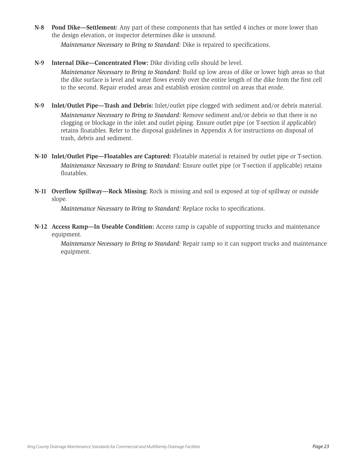**N-8 Pond Dike—Settlement:** Any part of these components that has settled 4 inches or more lower than the design elevation, or inspector determines dike is unsound.

*Maintenance Necessary to Bring to Standard:* Dike is repaired to specifications.

### **N-9 Internal Dike—Concentrated Flow:** Dike dividing cells should be level.

*Maintenance Necessary to Bring to Standard:* Build up low areas of dike or lower high areas so that the dike surface is level and water flows evenly over the entire length of the dike from the first cell to the second. Repair eroded areas and establish erosion control on areas that erode.

- **N-9 Inlet/Outlet Pipe—Trash and Debris:** Inlet/outlet pipe clogged with sediment and/or debris material. *Maintenance Necessary to Bring to Standard:* Remove sediment and/or debris so that there is no clogging or blockage in the inlet and outlet piping. Ensure outlet pipe (or T-section if applicable) retains floatables. Refer to the disposal guidelines in Appendix A for instructions on disposal of trash, debris and sediment.
- **N-10 Inlet/Outlet Pipe—Floatables are Captured:** Floatable material is retained by outlet pipe or T-section. *Maintenance Necessary to Bring to Standard:* Ensure outlet pipe (or T-section if applicable) retains floatables.
- **N-11 Overflow Spillway—Rock Missing:** Rock is missing and soil is exposed at top of spillway or outside slope.

*Maintenance Necessary to Bring to Standard:* Replace rocks to specifications.

**N-12 Access Ramp—In Useable Condition:** Access ramp is capable of supporting trucks and maintenance equipment.

*Maintenance Necessary to Bring to Standard:* Repair ramp so it can support trucks and maintenance equipment.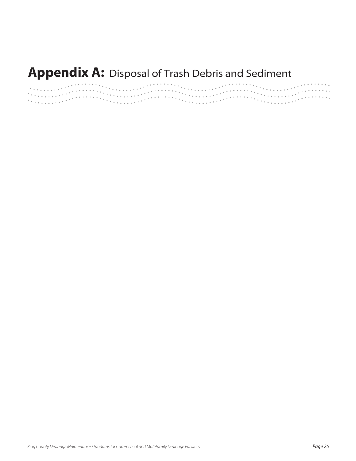# **Appendix A:** Disposal of Trash Debris and Sediment

|                |                                                                                                                                                                                                                                                                                                                                                                                                                                                   | . <u>.</u> |
|----------------|---------------------------------------------------------------------------------------------------------------------------------------------------------------------------------------------------------------------------------------------------------------------------------------------------------------------------------------------------------------------------------------------------------------------------------------------------|------------|
|                | $\mathcal{L}^{\text{R}}$ . The contribution of $\mathcal{L}^{\text{R}}$ is a contribution of $\mathcal{L}^{\text{R}}$ , and the contribution of $\mathcal{L}^{\text{R}}$                                                                                                                                                                                                                                                                          |            |
|                | $\left\{ \left( \left( \left\{ \mathbf{1}^{(1)}_{i} \right\} \right) \left( \left\{ \mathbf{1}^{(2)}_{i} \right\} \right) \right) \left( \left\{ \mathbf{1}^{(2)}_{i} \right\} \right) \left( \left\{ \mathbf{1}^{(3)}_{i} \right\} \right) \left( \left\{ \mathbf{1}^{(3)}_{i} \right\} \right) \left( \left\{ \mathbf{1}^{(3)}_{i} \right\} \right) \left( \left\{ \mathbf{1}^{(3)}_{i} \right\} \right) \left( \left\{ \mathbf{1}^{(3)}_{i} \$ |            |
| The successful |                                                                                                                                                                                                                                                                                                                                                                                                                                                   |            |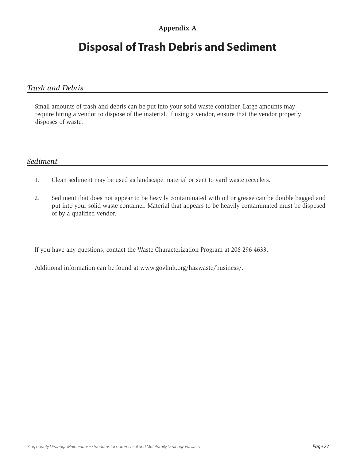## **Appendix A**

# **Disposal of Trash Debris and Sediment**

## *Trash and Debris*

Small amounts of trash and debris can be put into your solid waste container. Large amounts may require hiring a vendor to dispose of the material. If using a vendor, ensure that the vendor properly disposes of waste.

## *Sediment*

- 1. Clean sediment may be used as landscape material or sent to yard waste recyclers.
- 2. Sediment that does not appear to be heavily contaminated with oil or grease can be double bagged and put into your solid waste container. Material that appears to be heavily contaminated must be disposed of by a qualified vendor.

If you have any questions, contact the Waste Characterization Program at 206-296-4633.

Additional information can be found at www.govlink.org/hazwaste/business/.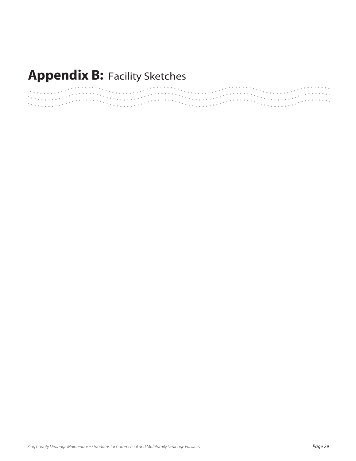# **Appendix B: Facility Sketches**

|             |                                                                                                                                                               | . <u>.</u> |
|-------------|---------------------------------------------------------------------------------------------------------------------------------------------------------------|------------|
|             | $\mathcal{L}^{\text{R}}$ . The contribution of the contribution of $\mathcal{L}^{\text{R}}$ , the contribution of $\mathcal{L}^{\text{R}}$ , and contribution |            |
|             |                                                                                                                                                               |            |
|             |                                                                                                                                                               |            |
| The comment |                                                                                                                                                               |            |
|             |                                                                                                                                                               |            |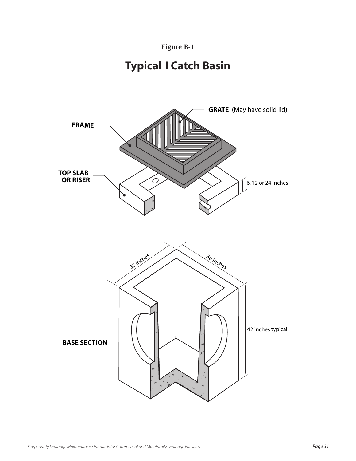

# **Typical I Catch Basin**

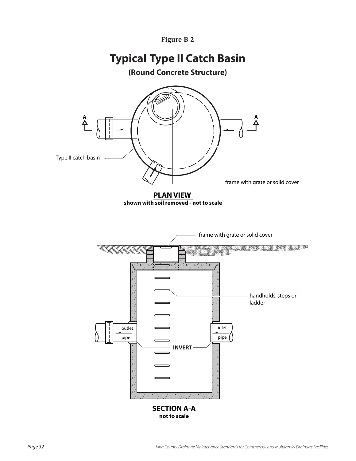# **Typical Type II Catch Basin**

**(Round Concrete Structure)**

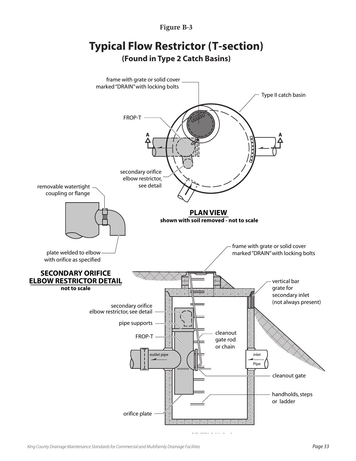

# **Typical Flow Restrictor (T-section) (Found in Type 2 Catch Basins)**

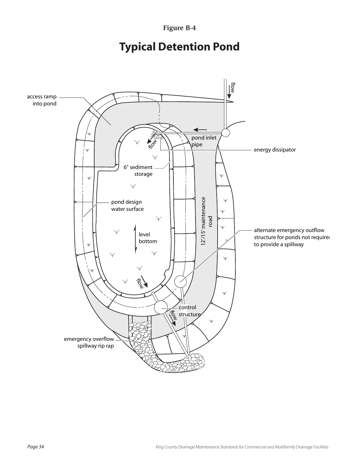# **Typical Detention Pond**

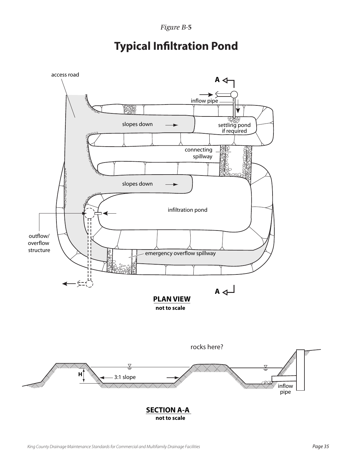

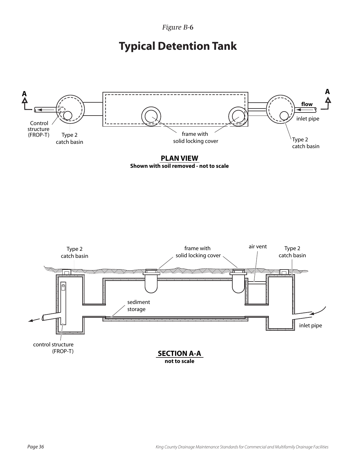# **Typical Detention Tank**



**PLAN VIEW Shown with soil removed - not to scale**

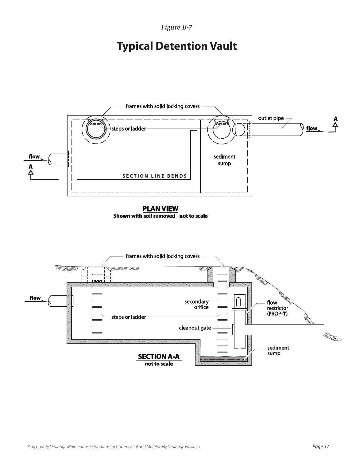# **Typical Detention Vault**

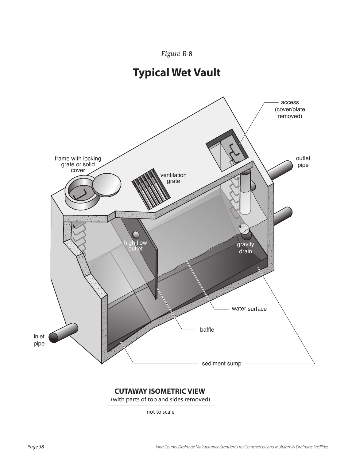





## **CUTAWAY ISOMETRIC VIEW**

(with parts of top and sides removed)

not to scale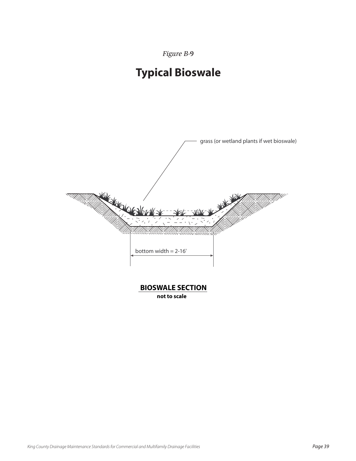# **Typical Bioswale**



**BIOSWALE SECTION**

**not to scale**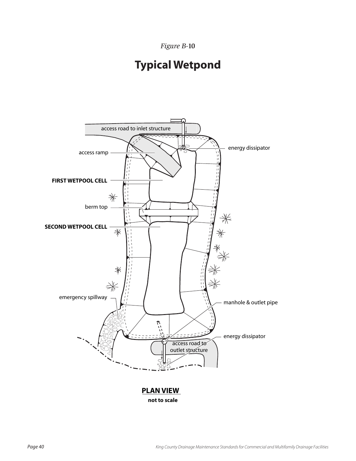# **Typical Wetpond**



**not to scale**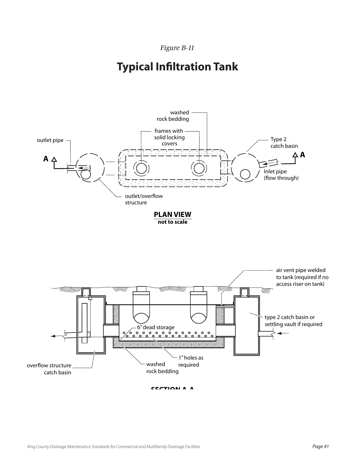# **Typical Infiltration Tank**